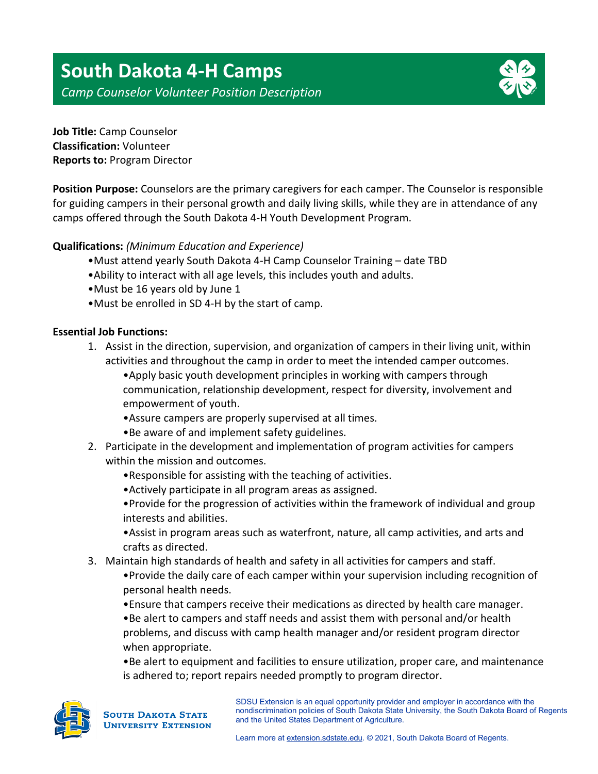

**Job Title:** Camp Counselor **Classification:** Volunteer **Reports to:** Program Director

**Position Purpose:** Counselors are the primary caregivers for each camper. The Counselor is responsible for guiding campers in their personal growth and daily living skills, while they are in attendance of any camps offered through the South Dakota 4-H Youth Development Program.

# **Qualifications:** *(Minimum Education and Experience)*

- •Must attend yearly South Dakota 4-H Camp Counselor Training date TBD
- •Ability to interact with all age levels, this includes youth and adults.
- •Must be 16 years old by June 1
- •Must be enrolled in SD 4-H by the start of camp.

## **Essential Job Functions:**

1. Assist in the direction, supervision, and organization of campers in their living unit, within activities and throughout the camp in order to meet the intended camper outcomes.

•Apply basic youth development principles in working with campers through communication, relationship development, respect for diversity, involvement and empowerment of youth.

- •Assure campers are properly supervised at all times.
- •Be aware of and implement safety guidelines.
- 2. Participate in the development and implementation of program activities for campers within the mission and outcomes.
	- •Responsible for assisting with the teaching of activities.
	- •Actively participate in all program areas as assigned.

•Provide for the progression of activities within the framework of individual and group interests and abilities.

•Assist in program areas such as waterfront, nature, all camp activities, and arts and crafts as directed.

- 3. Maintain high standards of health and safety in all activities for campers and staff.
	- •Provide the daily care of each camper within your supervision including recognition of personal health needs.
	- •Ensure that campers receive their medications as directed by health care manager.

•Be alert to campers and staff needs and assist them with personal and/or health problems, and discuss with camp health manager and/or resident program director when appropriate.

•Be alert to equipment and facilities to ensure utilization, proper care, and maintenance is adhered to; report repairs needed promptly to program director.